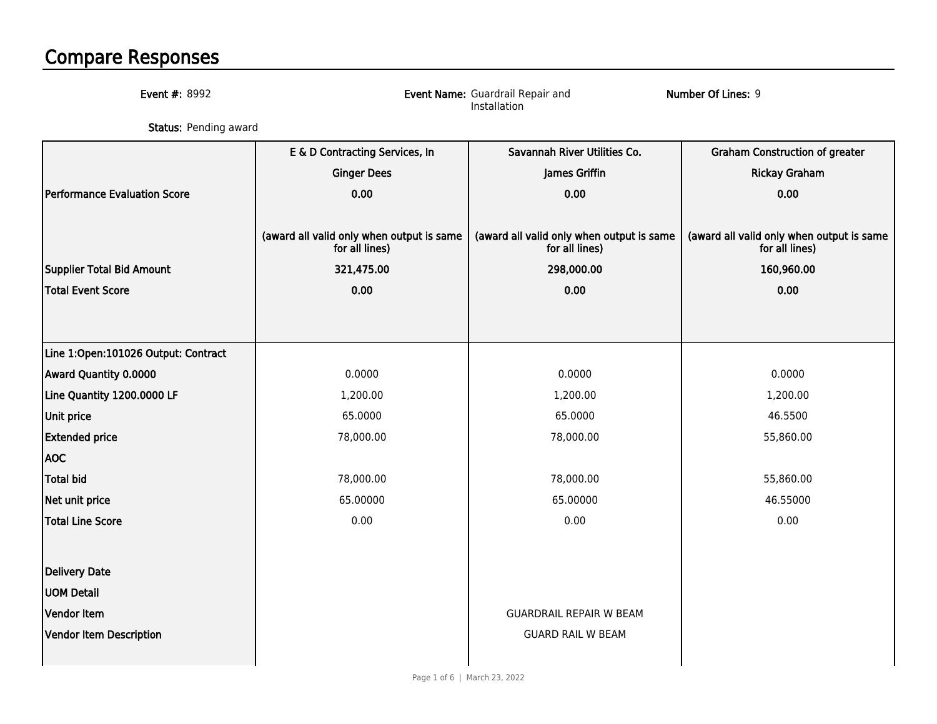## Compare Responses

| <b>Event #: 8992</b>                |                                                             | Event Name: Guardrail Repair and<br>Installation            | Number Of Lines: 9                                          |
|-------------------------------------|-------------------------------------------------------------|-------------------------------------------------------------|-------------------------------------------------------------|
| Status: Pending award               |                                                             |                                                             |                                                             |
|                                     | E & D Contracting Services, In                              | Savannah River Utilities Co.                                | <b>Graham Construction of greater</b>                       |
|                                     | <b>Ginger Dees</b>                                          | James Griffin                                               | <b>Rickay Graham</b>                                        |
| <b>Performance Evaluation Score</b> | 0.00                                                        | 0.00                                                        | 0.00                                                        |
|                                     |                                                             |                                                             |                                                             |
|                                     | (award all valid only when output is same<br>for all lines) | (award all valid only when output is same<br>for all lines) | (award all valid only when output is same<br>for all lines) |
| <b>Supplier Total Bid Amount</b>    | 321,475.00                                                  | 298,000.00                                                  | 160,960.00                                                  |
| <b>Total Event Score</b>            | 0.00                                                        | 0.00                                                        | 0.00                                                        |
|                                     |                                                             |                                                             |                                                             |
|                                     |                                                             |                                                             |                                                             |
| Line 1:Open:101026 Output: Contract |                                                             |                                                             |                                                             |
| Award Quantity 0.0000               | 0.0000                                                      | 0.0000                                                      | 0.0000                                                      |
| Line Quantity 1200.0000 LF          | 1,200.00                                                    | 1,200.00                                                    | 1,200.00                                                    |
| Unit price                          | 65.0000                                                     | 65.0000                                                     | 46.5500                                                     |
| <b>Extended price</b>               | 78,000.00                                                   | 78,000.00                                                   | 55,860.00                                                   |
| <b>AOC</b>                          |                                                             |                                                             |                                                             |
| <b>Total bid</b>                    | 78,000.00                                                   | 78,000.00                                                   | 55,860.00                                                   |
| Net unit price                      | 65.00000                                                    | 65.00000                                                    | 46.55000                                                    |
| <b>Total Line Score</b>             | 0.00                                                        | 0.00                                                        | 0.00                                                        |
|                                     |                                                             |                                                             |                                                             |
| <b>Delivery Date</b>                |                                                             |                                                             |                                                             |
| <b>UOM Detail</b>                   |                                                             |                                                             |                                                             |
| <b>Vendor Item</b>                  |                                                             | <b>GUARDRAIL REPAIR W BEAM</b>                              |                                                             |
| <b>Vendor Item Description</b>      |                                                             | <b>GUARD RAIL W BEAM</b>                                    |                                                             |
|                                     |                                                             |                                                             |                                                             |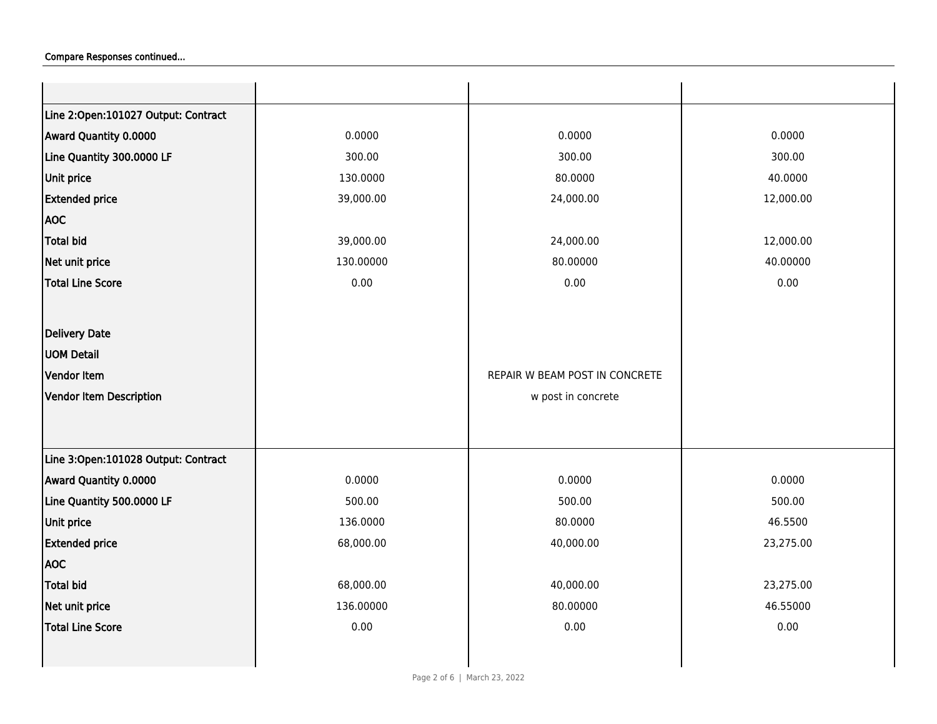| Line 2:Open:101027 Output: Contract |           |                                |           |
|-------------------------------------|-----------|--------------------------------|-----------|
| Award Quantity 0.0000               | 0.0000    | 0.0000                         | 0.0000    |
| Line Quantity 300.0000 LF           | 300.00    | 300.00                         | 300.00    |
| <b>Unit price</b>                   | 130.0000  | 80.0000                        | 40.0000   |
| <b>Extended price</b>               | 39,000.00 | 24,000.00                      | 12,000.00 |
| <b>AOC</b>                          |           |                                |           |
| Total bid                           | 39,000.00 | 24,000.00                      | 12,000.00 |
| Net unit price                      | 130.00000 | 80.00000                       | 40.00000  |
| Total Line Score                    | 0.00      | 0.00                           | 0.00      |
|                                     |           |                                |           |
| Delivery Date                       |           |                                |           |
| <b>UOM Detail</b>                   |           |                                |           |
| Vendor Item                         |           | REPAIR W BEAM POST IN CONCRETE |           |
| Vendor Item Description             |           |                                |           |
|                                     |           | w post in concrete             |           |
|                                     |           |                                |           |
|                                     |           |                                |           |
| Line 3:Open:101028 Output: Contract |           |                                |           |
| Award Quantity 0.0000               | 0.0000    | 0.0000                         | 0.0000    |
| Line Quantity 500.0000 LF           | 500.00    | 500.00                         | 500.00    |
| Unit price                          | 136.0000  | 80.0000                        | 46.5500   |
| <b>Extended price</b>               | 68,000.00 | 40,000.00                      | 23,275.00 |
| <b>AOC</b>                          |           |                                |           |
| <b>Total bid</b>                    | 68,000.00 | 40,000.00                      | 23,275.00 |
| Net unit price                      | 136.00000 | 80.00000                       | 46.55000  |
| Total Line Score                    | 0.00      | 0.00                           | 0.00      |

 $\overline{\phantom{a}}$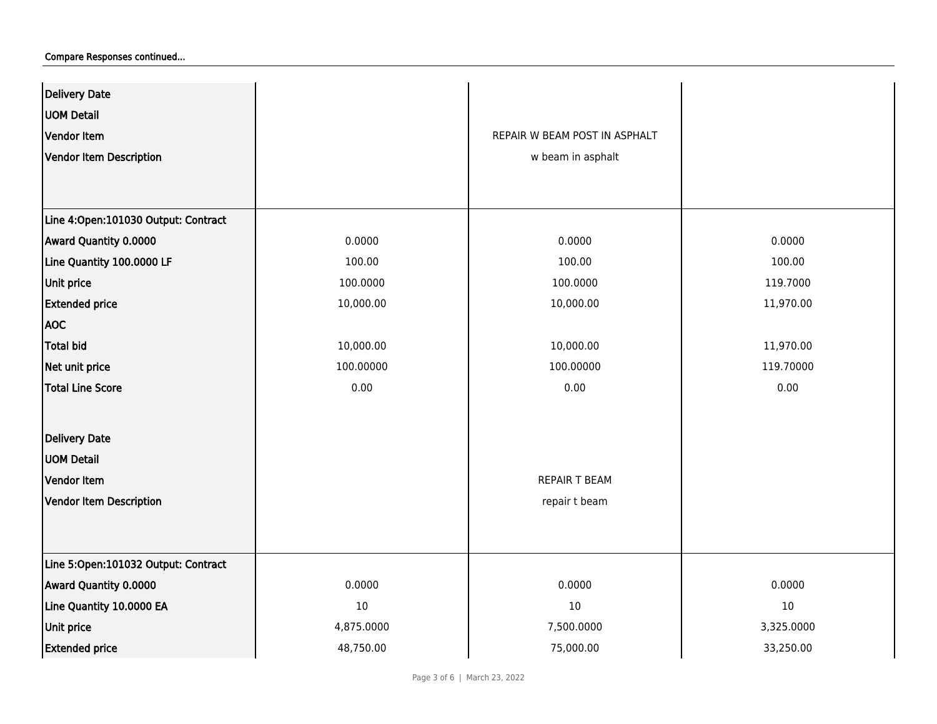| Delivery Date                         |            |                               |            |
|---------------------------------------|------------|-------------------------------|------------|
| <b>UOM Detail</b>                     |            |                               |            |
| Vendor Item                           |            | REPAIR W BEAM POST IN ASPHALT |            |
| <b>Vendor Item Description</b>        |            | w beam in asphalt             |            |
|                                       |            |                               |            |
|                                       |            |                               |            |
| Line 4: Open: 101030 Output: Contract |            |                               |            |
| Award Quantity 0.0000                 | 0.0000     | 0.0000                        | 0.0000     |
| Line Quantity 100.0000 LF             | 100.00     | 100.00                        | 100.00     |
| Unit price                            | 100.0000   | 100.0000                      | 119.7000   |
| <b>Extended price</b>                 | 10,000.00  | 10,000.00                     | 11,970.00  |
| <b>AOC</b>                            |            |                               |            |
| <b>Total bid</b>                      | 10,000.00  | 10,000.00                     | 11,970.00  |
| Net unit price                        | 100.00000  | 100.00000                     | 119.70000  |
| <b>Total Line Score</b>               | 0.00       | 0.00                          | 0.00       |
|                                       |            |                               |            |
| <b>Delivery Date</b>                  |            |                               |            |
| <b>UOM Detail</b>                     |            |                               |            |
| Vendor Item                           |            | <b>REPAIR T BEAM</b>          |            |
| <b>Vendor Item Description</b>        |            | repair t beam                 |            |
|                                       |            |                               |            |
|                                       |            |                               |            |
| Line 5:Open:101032 Output: Contract   |            |                               |            |
| Award Quantity 0.0000                 | 0.0000     | 0.0000                        | 0.0000     |
| Line Quantity 10.0000 EA              | $10\,$     | 10                            | 10         |
| Unit price                            | 4,875.0000 | 7,500.0000                    | 3,325.0000 |
| <b>Extended price</b>                 | 48,750.00  | 75,000.00                     | 33,250.00  |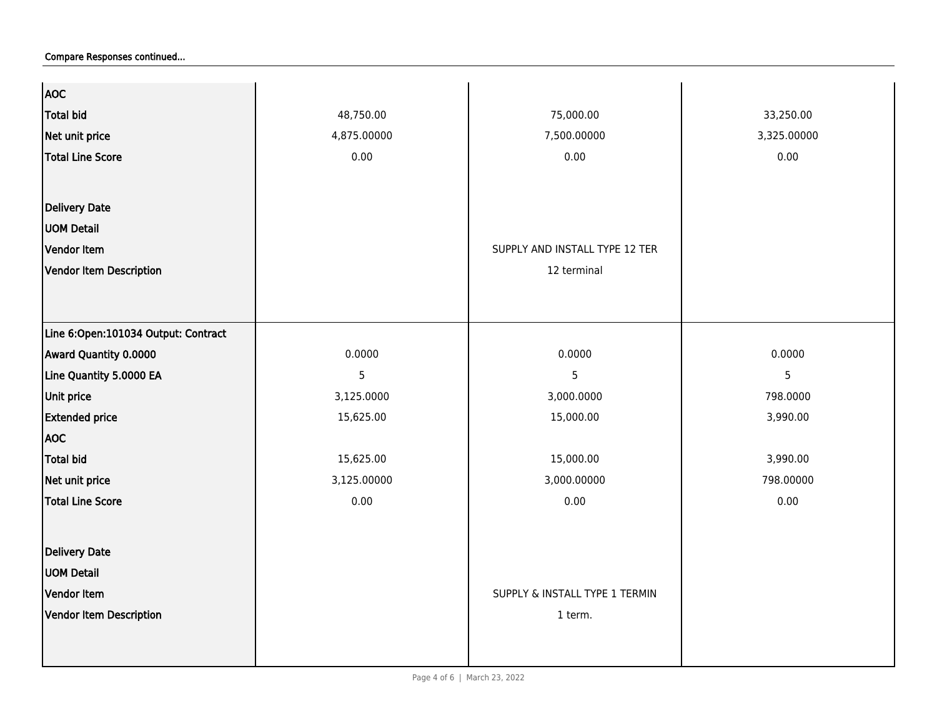| <b>AOC</b>                          |             |                                |                |
|-------------------------------------|-------------|--------------------------------|----------------|
| <b>Total bid</b>                    | 48,750.00   | 75,000.00                      | 33,250.00      |
| Net unit price                      | 4,875.00000 | 7,500.00000                    | 3,325.00000    |
| <b>Total Line Score</b>             | 0.00        | 0.00                           | 0.00           |
|                                     |             |                                |                |
| <b>Delivery Date</b>                |             |                                |                |
| <b>UOM Detail</b>                   |             |                                |                |
| <b>Vendor Item</b>                  |             | SUPPLY AND INSTALL TYPE 12 TER |                |
| Vendor Item Description             |             | 12 terminal                    |                |
|                                     |             |                                |                |
|                                     |             |                                |                |
| Line 6:Open:101034 Output: Contract |             |                                |                |
| Award Quantity 0.0000               | 0.0000      | 0.0000                         | 0.0000         |
| Line Quantity 5.0000 EA             | 5           | 5                              | $\overline{5}$ |
| Unit price                          | 3,125.0000  | 3,000.0000                     | 798.0000       |
| <b>Extended price</b>               | 15,625.00   | 15,000.00                      | 3,990.00       |
| <b>AOC</b>                          |             |                                |                |
| <b>Total bid</b>                    | 15,625.00   | 15,000.00                      | 3,990.00       |
| Net unit price                      | 3,125.00000 | 3,000.00000                    | 798.00000      |
| <b>Total Line Score</b>             | 0.00        | 0.00                           | 0.00           |
|                                     |             |                                |                |
| <b>Delivery Date</b>                |             |                                |                |
| <b>UOM Detail</b>                   |             |                                |                |
| Vendor Item                         |             | SUPPLY & INSTALL TYPE 1 TERMIN |                |
| Vendor Item Description             |             | 1 term.                        |                |
|                                     |             |                                |                |
|                                     |             |                                |                |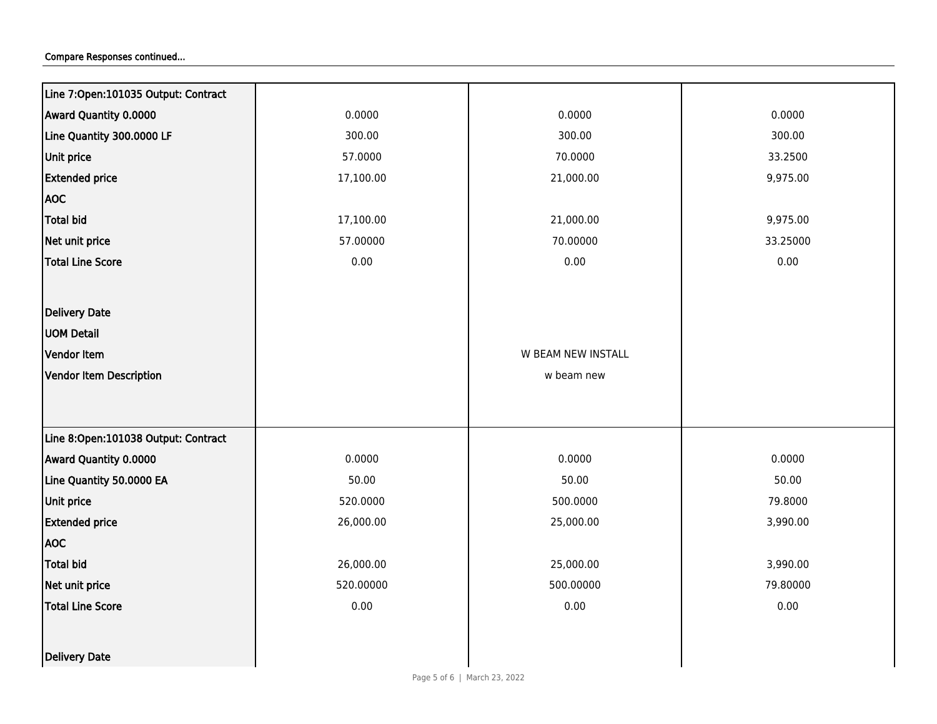| Line 7:Open:101035 Output: Contract |           |                    |          |
|-------------------------------------|-----------|--------------------|----------|
| Award Quantity 0.0000               | 0.0000    | 0.0000             | 0.0000   |
| Line Quantity 300.0000 LF           | 300.00    | 300.00             | 300.00   |
| Unit price                          | 57.0000   | 70.0000            | 33.2500  |
| <b>Extended price</b>               | 17,100.00 | 21,000.00          | 9,975.00 |
| <b>AOC</b>                          |           |                    |          |
| Total bid                           | 17,100.00 | 21,000.00          | 9,975.00 |
| Net unit price                      | 57.00000  | 70.00000           | 33.25000 |
| Total Line Score                    | $0.00\,$  | $0.00\,$           | 0.00     |
|                                     |           |                    |          |
| Delivery Date                       |           |                    |          |
| <b>UOM Detail</b>                   |           |                    |          |
| Vendor Item                         |           | W BEAM NEW INSTALL |          |
| Vendor Item Description             |           | w beam new         |          |
|                                     |           |                    |          |
|                                     |           |                    |          |
| Line 8:Open:101038 Output: Contract |           |                    |          |
| Award Quantity 0.0000               | 0.0000    | 0.0000             | 0.0000   |
| Line Quantity 50.0000 EA            | 50.00     | 50.00              | 50.00    |
| <b>Unit price</b>                   | 520.0000  | 500.0000           | 79.8000  |
| <b>Extended price</b>               | 26,000.00 | 25,000.00          | 3,990.00 |
| <b>AOC</b>                          |           |                    |          |
| Total bid                           | 26,000.00 | 25,000.00          | 3,990.00 |
| Net unit price                      | 520.00000 | 500.00000          | 79.80000 |
| Total Line Score                    | 0.00      | 0.00               | 0.00     |
|                                     |           |                    |          |
|                                     |           |                    |          |
| <b>Delivery Date</b>                |           |                    |          |